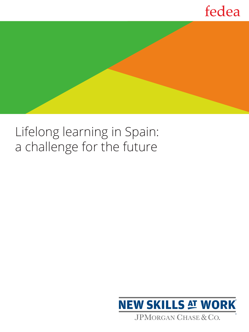# fedea

## Lifelong learning in Spain: a challenge for the future

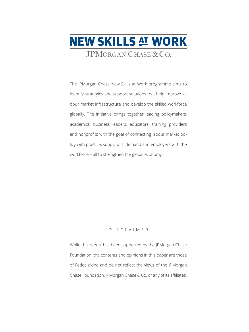### **NEW SKILLS AT WORK JPMORGAN CHASE & CO.**

The JPMorgan Chase New Skills at Work programme aims to identify strategies and support solutions that help improve labour market infrastructure and develop the skilled workforce globally. The initiative brings together leading policymakers, academics, business leaders, educators, training providers and nonprofits with the goal of connecting labour market policy with practice, supply with demand and employers with the workforce – all to strengthen the global economy.

### DISCLAIMER

While this report has been supported by the JPMorgan Chase Foundation, the contents and opinions in this paper are those of Fedea alone and do not reflect the views of the JPMorgan Chase Foundation, JPMorgan Chase & Co, or any of its affiliates.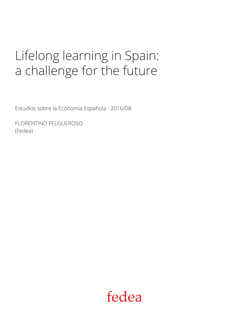## Lifelong learning in Spain: a challenge for the future

Estudios sobre la Economía Española - 2016/08

FLORENTINO FELGUEROSO (Fedea)

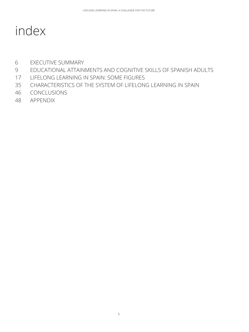## index

- EXECUTIVE SUMMARY
- EDUCATIONAL ATTAINMENTS AND COGNITIVE SKILLS OF SPANISH ADULTS
- LIFELONG LEARNING IN SPAIN: SOME FIGURES
- CHARACTERISTICS OF THE SYSTEM OF LIFELONG LEARNING IN SPAIN
- CONCLUSIONS
- APPENDIX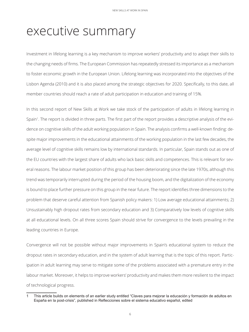### executive summary

Investment in lifelong learning is a key mechanism to improve workers' productivity and to adapt their skills to the changing needs of firms. The European Commission has repeatedly stressed its importance as a mechanism to foster economic growth in the European Union. Lifelong learning was incorporated into the objectives of the Lisbon Agenda (2010) and it is also placed among the strategic objectives for 2020. Specifically, to this date, all member countries should reach a rate of adult participation in education and training of 15%.

In this second report of New Skills at Work we take stock of the participation of adults in lifelong learning in Spain<sup>1</sup>. The report is divided in three parts. The first part of the report provides a descriptive analysis of the evidence on cognitive skills of the adult working population in Spain. The analysis confirms a well-known finding: despite major improvements in the educational attainments of the working population in the last few decades, the average level of cognitive skills remains low by international standards. In particular, Spain stands out as one of the EU countries with the largest share of adults who lack basic skills and competences. This is relevant for several reasons. The labour market position of this group has been deteriorating since the late 1970s, although this trend was temporarily interrupted during the period of the housing boom, and the digitalization of the economy is bound to place further pressure on this group in the near future. The report identifies three dimensions to the problem that deserve careful attention from Spanish policy makers: 1) Low average educational attainments; 2) Unsustainably high dropout rates from secondary education and 3) Comparatively low levels of cognitive skills at all educational levels. On all three scores Spain should strive for convergence to the levels prevailing in the leading countries in Europe.

Convergence will not be possible without major improvements in Spain's educational system to reduce the dropout rates in secondary education, and in the system of adult learning that is the topic of this report. Participation in adult learning may serve to mitigate some of the problems associated with a premature entry in the labour market. Moreover, it helps to improve workers' productivity and makes them more resilient to the impact of technological progress.

<sup>1</sup> This article builds on elements of an earlier study entitled "Claves para mejorar la educación y formación de adultos en España en la post-crisis", published in Reflecciones sobre el sistema educativo español, edited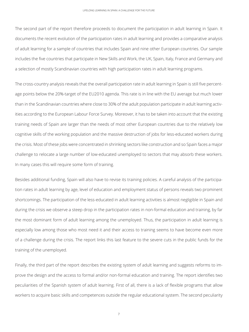The second part of the report therefore proceeds to document the participation in adult learning in Spain. It documents the recent evolution of the participation rates in adult learning and provides a comparative analysis of adult learning for a sample of countries that includes Spain and nine other European countries. Our sample includes the five countries that participate in New Skills and Work, the UK, Spain, Italy, France and Germany and a selection of mostly Scandinavian countries with high participation rates in adult learning programs.

The cross-country analysis reveals that the overall participation rate in adult learning in Spain is still five percentage points below the 20%-target of the EU2010 agenda. This rate is in line with the EU average but much lower than in the Scandinavian countries where close to 30% of the adult population participate in adult learning activities according to the European Labour Force Survey. Moreover, it has to be taken into account that the existing training needs of Spain are larger than the needs of most other European countries due to the relatively low cognitive skills of the working population and the massive destruction of jobs for less-educated workers during the crisis. Most of these jobs were concentrated in shrinking sectors like construction and so Spain faces a major challenge to relocate a large number of low-educated unemployed to sectors that may absorb these workers. In many cases this will require some form of training.

Besides additional funding, Spain will also have to revise its training policies. A careful analysis of the participation rates in adult learning by age, level of education and employment status of persons reveals two prominent shortcomings. The participation of the less-educated in adult learning activities is almost negligible in Spain and during the crisis we observe a steep drop in the participation rates in non-formal education and training, by far the most dominant form of adult learning among the unemployed. Thus, the participation in adult learning is especially low among those who most need it and their access to training seems to have become even more of a challenge during the crisis. The report links this last feature to the severe cuts in the public funds for the training of the unemployed.

Finally, the third part of the report describes the existing system of adult learning and suggests reforms to improve the design and the access to formal and/or non-formal education and training. The report identifies two peculiarities of the Spanish system of adult learning. First of all, there is a lack of flexible programs that allow workers to acquire basic skills and competences outside the regular educational system. The second peculiarity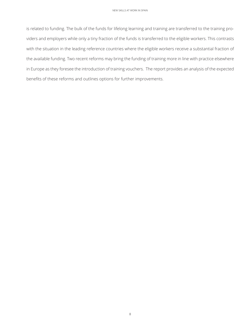#### NEW SKILLS AT WORK IN SPAIN

is related to funding. The bulk of the funds for lifelong learning and training are transferred to the training providers and employers while only a tiny fraction of the funds is transferred to the eligible workers. This contrasts with the situation in the leading reference countries where the eligible workers receive a substantial fraction of the available funding. Two recent reforms may bring the funding of training more in line with practice elsewhere in Europe as they foresee the introduction of training vouchers. The report provides an analysis of the expected benefits of these reforms and outlines options for further improvements.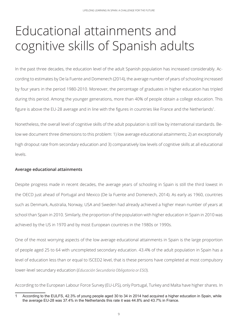## Educational attainments and cognitive skills of Spanish adults

In the past three decades, the education level of the adult Spanish population has increased considerably. According to estimates by De la Fuente and Domenech (2014), the average number of years of schooling increased by four years in the period 1980-2010. Moreover, the percentage of graduates in higher education has tripled during this period. Among the younger generations, more than 40% of people obtain a college education. This figure is above the EU-28 average and in line with the figures in countries like France and the Netherlands<sup>1</sup>.

Nonetheless, the overall level of cognitive skills of the adult population is still low by international standards. Below we document three dimensions to this problem: 1) low average educational attainments; 2) an exceptionally high dropout rate from secondary education and 3) comparatively low levels of cognitive skills at all educational levels.

### **Average educational attainments**

Despite progress made in recent decades, the average years of schooling in Spain is still the third lowest in the OECD just ahead of Portugal and Mexico (De la Fuente and Domenech, 2014). As early as 1960, countries such as Denmark, Australia, Norway, USA and Sweden had already achieved a higher mean number of years at school than Spain in 2010. Similarly, the proportion of the population with higher education in Spain in 2010 was achieved by the US in 1970 and by most European countries in the 1980s or 1990s.

One of the most worrying aspects of the low average educational attainments in Spain is the large proportion of people aged 25 to 64 with uncompleted secondary education. 43.4% of the adult population in Spain has a level of education less than or equal to ISCED2 level, that is these persons have completed at most compulsory lower-level secundary education (*Educación Secundaria Obligatoria or ESO*).

According to the European Labour Force Survey (EU-LFS), only Portugal, Turkey and Malta have higher shares. In

<sup>1</sup> According to the EULFS, 42.3% of young people aged 30 to 34 in 2014 had acquired a higher education in Spain, while the average EU-28 was 37.4% in the Netherlands this rate it was 44.8% and 43.7% in France.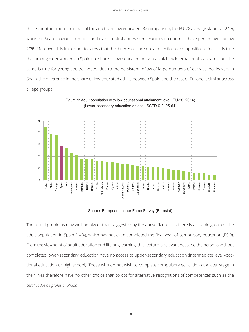these countries more than half of the adults are low educated. By comparison, the EU-28 average stands at 24%, while the Scandinavian countries, and even Central and Eastern European countries, have percentages below 20%. Moreover, it is important to stress that the differences are not a reflection of composition effects. It is true that among older workers in Spain the share of low educated persons is high by international standards, but the same is true for young adults. Indeed, due to the persistent inflow of large numbers of early school leavers in Spain, the difference in the share of low-educated adults between Spain and the rest of Europe is similar across all age groups.





#### Source: European Labour Force Survey (Eurostat)

The actual problems may well be bigger than suggested by the above figures, as there is a sizable group of the adult population in Spain (14%), which has not even completed the final year of compulsory education (ESO). From the viewpoint of adult education and lifelong learning, this feature is relevant because the persons without completed lower-secondary education have no access to upper-secondary education (intermediate level vocational education or high school). Those who do not wish to complete compulsory education at a later stage in their lives therefore have no other choice than to opt for alternative recognitions of competences such as the *certificados de profesionalidad*.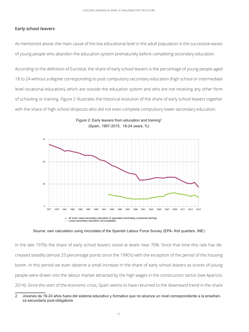#### **Early school leavers**

As mentioned above, the main cause of the low educational level in the adult population is the successive waves of young people who abandon the education system prematurely before completing secondary education.

According to the definition of Eurostat, the share of early school leavers is the percentage of young people aged 18 to 24 without a degree corresponding to post-compulsory secondary education (high school or intermediate level vocational education), which are outside the education system and who are not receiving any other form of schooling or training. Figure 2 illustrates the historical evolution of the share of early school leavers together with the share of high school dropouts who did not even complete compulsory lower-secondary education.



Figure 2: Early leavers from education and training<sup>2</sup> (Spain, 1997-2015, 18-24 years, %)

Source: own calculation using microdata of the Spanish Labour Force Survey (EPA- first quarters, INE)

In the late 1970s the share of early school leavers stood at levels near 70%. Since that time this rate has decreased steadily (almost 25 percentage points since the 1990's) with the exception of the period of the housing boom. In this period we even observe a small increase in the share of early school leavers as scores of young people were drawn into the labour market attracted by the high wages in the construction sector (see Aparicio, 2014). Since the start of the economic crisis, Spain seems to have returned to the downward trend in the share

<sup>2</sup> Jóvenes de 18-24 años fuera del sistema educativo y formativo que no alcanza un nivel correspondiente a la enseñanza secundaria post-obligatoria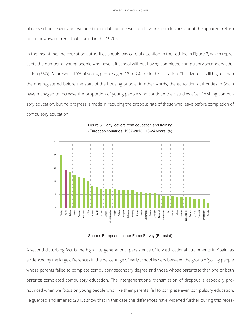of early school leavers, but we need more data before we can draw firm conclusions about the apparent return to the downward trend that started in the 1970's.

In the meantime, the education authorities should pay careful attention to the red line in Figure 2, which represents the number of young people who have left school without having completed compulsory secondary education (ESO). At present, 10% of young people aged 18 to 24 are in this situation. This figure is still higher than the one registered before the start of the housing bubble. In other words, the education authorities in Spain have managed to increase the proportion of young people who continue their studies after finishing compulsory education, but no progress is made in reducing the dropout rate of those who leave before completion of compulsory education.



#### Figure 3: Early leavers from education and training (European countries, 1997-2015, 18-24 years, %)

Source: European Labour Force Survey (Eurostat)

A second disturbing fact is the high intergenerational persistence of low educational attainments in Spain, as evidenced by the large differences in the percentage of early school leavers between the group of young people whose parents failed to complete compulsory secondary degree and those whose parents (either one or both parents) completed compulsory education. The intergenerational transmission of dropout is especially pronounced when we focus on young people who, like their parents, fail to complete even compulsory education. Felgueroso and Jimenez (2015) show that in this case the differences have widened further during this reces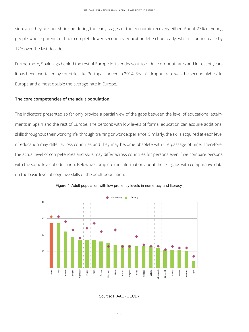sion, and they are not shrinking during the early stages of the economic recovery either. About 27% of young people whose parents did not complete lower-secondary education left school early, which is an increase by 12% over the last decade.

Furthermore, Spain lags behind the rest of Europe in its endeavour to reduce dropout rates and in recent years it has been overtaken by countries like Portugal. Indeed in 2014, Spain's dropout rate was the second highest in Europe and almost double the average rate in Europe.

#### **The core competencies of the adult population**

The indicators presented so far only provide a partial view of the gaps between the level of educational attainments in Spain and the rest of Europe. The persons with low levels of formal education can acquire additional skills throughout their working life, through training or work experience. Similarly, the skills acquired at each level of education may differ across countries and they may become obsolete with the passage of time. Therefore, the actual level of competencies and skills may differ across countries for persons even if we compare persons with the same level of education. Below we complete the information about the skill gaps with comparative data on the basic level of cognitive skills of the adult population.





Source: PIAAC (OECD)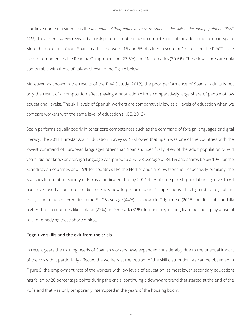#### NEW SKILLS AT WORK IN SPAIN

Our first source of evidence is the *International Programme on the Assessment of the skills of the adult population (PIAAC 2013)*. This recent survey revealed a bleak picture about the basic competencies of the adult population in Spain. More than one out of four Spanish adults between 16 and 65 obtained a score of 1 or less on the PIACC scale in core competences like Reading Comprehension (27.5%) and Mathematics (30.6%). These low scores are only comparable with those of Italy as shown in the Figure below.

Moreover, as shown in the results of the PIAAC study (2013), the poor performance of Spanish adults is not only the result of a composition effect (having a population with a comparatively large share of people of low educational levels). The skill levels of Spanish workers are comparatively low at all levels of education when we compare workers with the same level of education (INEE, 2013).

Spain performs equally poorly in other core competences such as the command of foreign languages or digital literacy. The 2011 Eurostat Adult Education Survey (AES) showed that Spain was one of the countries with the lowest command of European languages other than Spanish. Specifically, 49% of the adult population (25-64 years) did not know any foreign language compared to a EU-28 average of 34.1% and shares below 10% for the Scandinavian countries and 15% for countries like the Netherlands and Switzerland, respectively. Similarly, the Statistics Information Society of Eurostat indicated that by 2014 42% of the Spanish population aged 25 to 64 had never used a computer or did not know how to perform basic ICT operations. This high rate of digital illiteracy is not much different from the EU-28 average (44%), as shown in Felgueroso (2015), but it is substantially higher than in countries like Finland (22%) or Denmark (31%). In principle, lifelong learning could play a useful role in remedying these shortcomings.

#### **Cognitive skills and the exit from the crisis**

In recent years the training needs of Spanish workers have expanded considerably due to the unequal impact of the crisis that particularly affected the workers at the bottom of the skill distribution. As can be observed in Figure 5, the employment rate of the workers with low levels of education (at most lower secondary education) has fallen by 20 percentage points during the crisis, continuing a downward trend that started at the end of the 70´s and that was only temporarily interrupted in the years of the housing boom.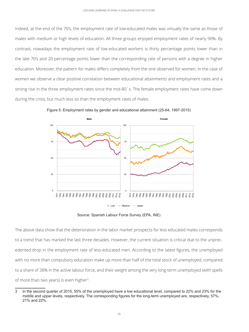Indeed, at the end of the 70's, the employment rate of low-educated males was virtually the same as those of males with medium or high levels of education. All three groups enjoyed employment rates of nearly 90%. By contrast, nowadays the employment rate of low-educated workers is thirty percentage points lower than in the late 70's and 20 percentage points lower than the corresponding rate of persons with a degree in higher education. Moreover, the pattern for males differs completely from the one observed for women. In the case of women we observe a clear positive correlation between educational attainments and employment rates and a strong rise in the three employment rates since the mid-80´s. The female employment rates have come down during the crisis, but much less so than the employment rates of males.



Figure 5: Employment rates by gender and educational attainment (25-64, 1997-2015)

Source: Spanish Labour Force Survey (EPA, INE)

The above data show that the deterioration in the labor market prospects for less educated males corresponds to a trend that has marked the last three decades. However, the current situation is critical due to the unprecedented drop in the employment rate of less-educated men. According to the latest figures, the unemployed with no more than compulsory education make up more than half of the total stock of unemployed, compared to a share of 38% in the active labour force, and their weight among the very long-term unemployed (with spells of more than two years) is even higher<sup>3</sup>.

<sup>3</sup> In the second quarter of 2015, 55% of the unemployed have a low educational level, compared to 22% and 23% for the middle and upper levels, respectively. The corresponding figures for the long-term unemployed are, respectively, 57%, 21% and 22%.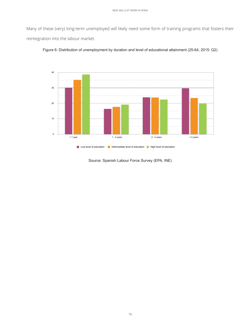Many of these (very) long-term unemployed will likely need some form of training programs that fosters their reintegration into the labour market.



Figure 6: Distribution of unemployment by duration and level of educational attainment (25-64, 2015: Q2)

Source: Spanish Labour Force Survey (EPA, INE)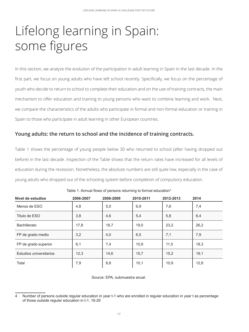## Lifelong learning in Spain: some figures

In this section, we analyze the evolution of the participation in adult learning in Spain in the last decade. In the first part, we focus on young adults who have left school recently. Specifically, we focus on the percentage of youth who decide to return to school to complete their education and on the use of training contracts, the main mechanism to offer education and training to young persons who want to combine learning and work. Next, we compare the characteristics of the adults who participate in formal and non-formal education or training in Spain to those who participate in adult learning in other European countries.

### **Young adults: the return to school and the incidence of training contracts.**

Table 1 shows the percentage of young people below 30 who returned to school (after having dropped out before) in the last decade. Inspection of the Table shows that the return rates have increased for all levels of education during the recession. Nonetheless, the absolute numbers are still quite low, especially in the case of young adults who dropped out of the schooling system before completion of compulsory education.

| Nivel de estudios       | 2006-2007 | 2008-2009 | 2010-2011 | 2012-2013 | 2014 |
|-------------------------|-----------|-----------|-----------|-----------|------|
| Menos de ESO            | 4,8       | 5,0       | 6,9       | 7,6       | 7,4  |
| Titulo de ESO           | 3,8       | 4,6       | 5,4       | 5,8       | 6,4  |
| <b>Bachillerato</b>     | 17,8      | 18,7      | 19,0      | 23,2      | 26,2 |
| FP de grado medio       | 3,2       | 4,0       | 6,5       | 7,1       | 7,9  |
| FP de grado superior    | 6,1       | 7,4       | 10,9      | 11,5      | 18,3 |
| Estudios universitarios | 12,3      | 14,6      | 15,7      | 15,2      | 19,1 |
| Total                   | 7,9       | 8,8       | 10,1      | 10,9      | 12,8 |

| Table 1. Annual flows of persons returning to formal education <sup>4</sup> |  |  |  |
|-----------------------------------------------------------------------------|--|--|--|
|-----------------------------------------------------------------------------|--|--|--|

Source: EPA, submuestra anual.

<sup>4</sup> Number of persons outside regular education in year t-1 who are enrolled in regular education in year t as percentage of those outside regular education in t-1, 16-29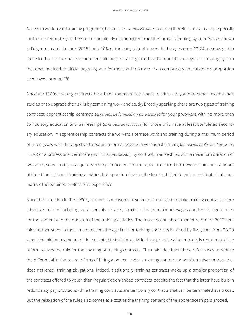Access to work-based training programs (the so-called *formación para el empleo*) therefore remains key, especially for the less educated, as they seem completely disconnected from the formal schooling system. Yet, as shown in Felgueroso and Jimenez (2015), only 10% of the early school leavers in the age group 18-24 are engaged in some kind of non-formal education or training (i.e. training or education outside the regular schooling system that does not lead to official degrees), and for those with no more than compulsory education this proportion even lower, around 5%.

Since the 1980s, training contracts have been the main instrument to stimulate youth to either resume their studies or to upgrade their skills by combining work and study. Broadly speaking, there are two types of training contracts: apprenticeship contracts (*contratos de formación y aprendizaje*) for young workers with no more than compulsory education and traineeships (*contratos de prácticas*) for those who have at least completed secondary education. In apprenticeship contracts the workers alternate work and training during a maximum period of three years with the objective to obtain a formal degree in vocational training (*formación profesional de grado medio*) or a professional certificate (*certificado profesional*). By contrast, traineeships, with a maximum duration of two years, serve mainly to acquire work experience. Furthermore, trainees need not devote a minimum amount of their time to formal training activities, but upon termination the firm is obliged to emit a certificate that summarizes the obtained professional experience.

Since their creation in the 1980's, numerous measures have been introduced to make training contracts more attractive to firms including social security rebates, specific rules on minimum wages and less stringent rules for the content and the duration of the training activities. The most recent labour market reform of 2012 contains further steps in the same direction: the age limit for training contracts is raised by five years, from 25-29 years, the minimum amount of time devoted to training activities in apprenticeship contracts is reduced and the reform relaxes the rule for the chaining of training contracts. The main idea behind the reform was to reduce the differential in the costs to firms of hiring a person under a training contract or an alternative contract that does not entail training obligations. Indeed, traditionally, training contracts make up a smaller proportion of the contracts offered to youth than (regular) open-ended contracts, despite the fact that the latter have built-in redundancy pay provisions while training contracts are temporary contracts that can be terminated at no cost. But the relaxation of the rules also comes at a cost as the training content of the apprenticeships is eroded.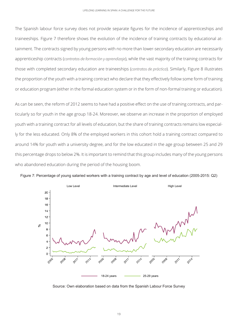The Spanish labour force survey does not provide separate figures for the incidence of apprenticeships and traineeships. Figure 7 therefore shows the evolution of the incidence of training contracts by educational attainment. The contracts signed by young persons with no more than lower-secondary education are necessarily apprenticeship contracts (*contratos de formación y aprendizaje*), while the vast majority of the training contracts for those with completed secondary education are traineeships (*contratos de práctica*). Similarly, Figure 8 illustrates the proportion of the youth with a training contract who declare that they effectively follow some form of training or education program (either in the formal education system or in the form of non-formal training or education).

As can be seen, the reform of 2012 seems to have had a positive effect on the use of training contracts, and particularly so for youth in the age group 18-24. Moreover, we observe an increase in the proportion of employed youth with a training contract for all levels of education, but the share of training contracts remains low especially for the less educated. Only 8% of the employed workers in this cohort hold a training contract compared to around 14% for youth with a university degree, and for the low educated in the age group between 25 and 29 this percentage drops to below 2%. It is important to remind that this group includes many of the young persons who abandoned education during the period of the housing boom.



Figure 7: Percentage of young salaried workers with a training contract by age and level of education (2005-2015: Q2)

Source: Own elaboration based on data from the Spanish Labour Force Survey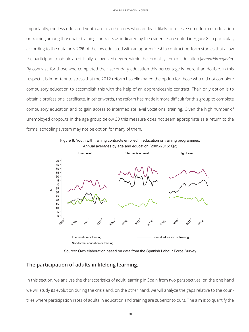Importantly, the less educated youth are also the ones who are least likely to receive some form of education or training among those with training contracts as indicated by the evidence presented in Figure 8. In particular, according to the data only 20% of the low educated with an apprenticeship contract perform studies that allow the participant to obtain an officially recognized degree within the formal system of education (*formación reglada*). By contrast, for those who completed their secondary education this percentage is more than double. In this respect it is important to stress that the 2012 reform has eliminated the option for those who did not complete compulsory education to accomplish this with the help of an apprenticeship contract. Their only option is to obtain a professional certificate. In other words, the reform has made it more difficult for this group to complete compulsory education and to gain access to intermediate level vocational training. Given the high number of unemployed dropouts in the age group below 30 this measure does not seem appropriate as a return to the formal schooling system may not be option for many of them.





Source: Own elaboration based on data from the Spanish Labour Force Survey

### **The participation of adults in lifelong learning.**

In this section, we analyze the characteristics of adult learning in Spain from two perspectives: on the one hand we will study its evolution during the crisis and, on the other hand, we will analyze the gaps relative to the countries where participation rates of adults in education and training are superior to ours. The aim is to quantify the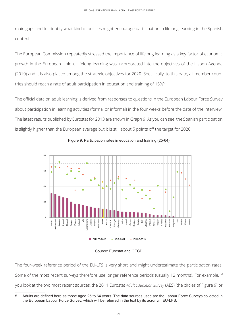main gaps and to identify what kind of policies might encourage participation in lifelong learning in the Spanish context.

The European Commission repeatedly stressed the importance of lifelong learning as a key factor of economic growth in the European Union. Lifelong learning was incorporated into the objectives of the Lisbon Agenda (2010) and it is also placed among the strategic objectives for 2020. Specifically, to this date, all member countries should reach a rate of adult participation in education and training of 15%5 .

The official data on adult learning is derived from responses to questions in the European Labour Force Survey about participation in learning activities (formal or informal) in the four weeks before the date of the interview. The latest results published by Eurostat for 2013 are shown in Graph 9. As you can see, the Spanish participation is slightly higher than the European average but it is still about 5 points off the target for 2020.



#### Figure 9: Participation rates in education and training (25-64)

Source: Eurostat and OECD

The four-week reference period of the EU-LFS is very short and might underestimate the participation rates. Some of the most recent surveys therefore use longer reference periods (usually 12 months). For example, if you look at the two most recent sources, the 2011 Eurostat *Adult Education Survey* (AES) (the circles of Figure 9) or

<sup>5</sup> Adults are defined here as those aged 25 to 64 years. The data sources used are the Labour Force Surveys collected in the European Labour Force Survey, which will be referred in the text by its acronym EU-LFS.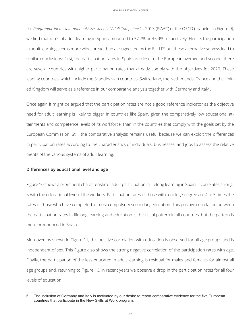#### NEW SKILLS AT WORK IN SPAIN

the *Programme for the International Assessment of Adult Competencies* 2013 (PIAAC) of the OECD (triangles in Figure 9), we find that rates of adult learning in Spain amounted to 37.7% or 45.9% respectively. Hence, the participation in adult learning seems more widespread than as suggested by the EU-LFS but these alternative surveys lead to similar conclusions: First, the participation rates in Spain are close to the European average and second, there are several countries with higher participation rates that already comply with the objectives for 2020. These leading countries, which include the Scandinavian countries, Switzerland, the Netherlands, France and the United Kingdom will serve as a reference in our comparative analysis together with Germany and Italy<sup>6</sup>.

Once again it might be argued that the participation rates are not a good reference indicator as the objective need for adult learning is likely to bigger in countries like Spain, given the comparatively low educational attainments and competence levels of its workforce, than in the countries that comply with the goals set by the European Commission. Still, the comparative analysis remains useful because we can exploit the differences in participation rates according to the characteristics of individuals, businesses, and jobs to assess the relative merits of the various systems of adult learning.

#### **Differences by educational level and age**

Figure 10 shows a prominent characteristic of adult participation in lifelong learning in Spain: it correlates strongly with the educational level of the workers. Participation rates of those with a college degree are 4 to 5 times the rates of those who have completed at most compulsory secondary education. This positive correlation between the participation rates in lifelong learning and education is the usual pattern in all countries, but the pattern is more pronounced in Spain.

Moreover, as shown in Figure 11, this positive correlation with education is observed for all age groups and is independent of sex. This Figure also shows the strong negative correlation of the participation rates with age. Finally, the participation of the less-educated in adult learning is residual for males and females for almost all age groups and, returning to Figure 10, in recent years we observe a drop in the participation rates for all four levels of education.

<sup>6</sup> The inclusion of Germany and Italy is motivated by our desire to report comparative evidence for the five European countries that participate in the New Skills at Work program.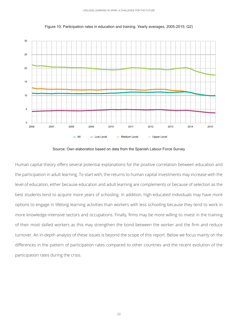

Figure 10: Participation rates in education and training. Yearly averages, 2005-2015: Q2)

Source: Own elaboration based on data from the Spanish Labour Force Survey

Human capital theory offers several potential explanations for the positive correlation between education and the participation in adult learning. To start with, the returns to human capital investments may increase with the level of education, either because education and adult learning are complements or because of selection as the best students tend to acquire more years of schooling. In addition, high-educated individuals may have more options to engage in lifelong learning activities than workers with less schooling because they tend to work in more knowledge-intensive sectors and occupations. Finally, firms may be more willing to invest in the training of their most skilled workers as this may strengthen the bond between the worker and the firm and reduce turnover. An in-depth analysis of these issues is beyond the scope of this report. Below we focus mainly on the differences in the pattern of participation rates compared to other countries and the recent evolution of the participation rates during the crisis.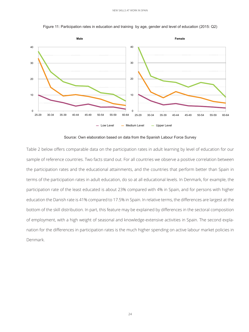



Source: Own elaboration based on data from the Spanish Labour Force Survey

Table 2 below offers comparable data on the participation rates in adult learning by level of education for our sample of reference countries. Two facts stand out. For all countries we observe a positive correlation between the participation rates and the educational attainments, and the countries that perform better than Spain in terms of the participation rates in adult education, do so at all educational levels. In Denmark, for example, the participation rate of the least educated is about 23% compared with 4% in Spain, and for persons with higher education the Danish rate is 41% compared to 17.5% in Spain. In relative terms, the differences are largest at the bottom of the skill distribution. In part, this feature may be explained by differences in the sectoral composition of employment, with a high weight of seasonal and knowledge-extensive activities in Spain. The second explanation for the differences in participation rates is the much higher spending on active labour market policies in Denmark.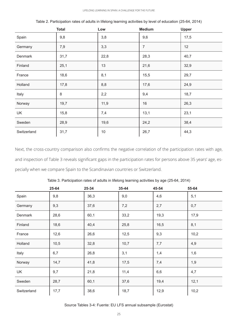|             | Total | Low  | <b>Medium</b>  | <b>Upper</b> |
|-------------|-------|------|----------------|--------------|
| Spain       | 9,8   | 3,8  | 9,6            | 17,5         |
| Germany     | 7,9   | 3,3  | $\overline{7}$ | 12           |
| Denmark     | 31,7  | 22,8 | 28,3           | 40,7         |
| Finland     | 25,1  | 13   | 21,6           | 32,9         |
| France      | 18,6  | 8,1  | 15,5           | 29,7         |
| Holland     | 17,8  | 8,8  | 17,6           | 24,9         |
| Italy       | 8     | 2,2  | 9,4            | 18,7         |
| Norway      | 19,7  | 11,9 | 16             | 26,3         |
| UK          | 15,8  | 7,4  | 13,1           | 23,1         |
| Sweden      | 28,9  | 19,6 | 24,2           | 38,4         |
| Switzerland | 31,7  | $10$ | 26,7           | 44,3         |

Table 2. Participation rates of adults in lifelong learning activities by level of education (25-64, 2014)

Next, the cross-country comparison also confirms the negative correlation of the participation rates with age, and inspection of Table 3 reveals significant gaps in the participation rates for persons above 35 years' age, especially when we compare Spain to the Scandinavian countries or Switzerland.

| Table 3. Participation rates of adults in lifelong learning activities by age (25-64, 2014) |  |  |  |  |  |
|---------------------------------------------------------------------------------------------|--|--|--|--|--|
|---------------------------------------------------------------------------------------------|--|--|--|--|--|

|             | 25-64 | 25-34 | 35-44 | 45-54 | 55-64 |
|-------------|-------|-------|-------|-------|-------|
| Spain       | 9,8   | 36,3  | 9,0   | 4,6   | 5,1   |
| Germany     | 9,3   | 37,6  | 7,2   | 2,7   | 0,7   |
| Denmark     | 28,6  | 60,1  | 33,2  | 19,3  | 17,9  |
| Finland     | 18,6  | 40,4  | 25,8  | 16,5  | 8,1   |
| France      | 12,6  | 26,6  | 12,5  | 9,3   | 10,2  |
| Holland     | 10,5  | 32,8  | 10,7  | 7,7   | 4,9   |
| Italy       | 6,7   | 26,8  | 3,1   | 1,4   | 1,6   |
| Norway      | 14,7  | 41,8  | 17,5  | 7,4   | 1,9   |
| UK          | 9,7   | 21,8  | 11,4  | 6,6   | 4,7   |
| Sweden      | 28,7  | 60,1  | 37,6  | 19,4  | 12,1  |
| Switzerland | 17,7  | 38,6  | 18,7  | 12,9  | 10,2  |

Source Tables 3-4: Fuente: EU LFS annual subsample (Eurostat)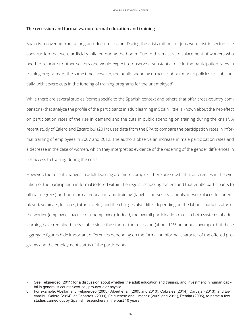#### **The recession and formal vs. non-formal education and training**

Spain is recovering from a long and deep recession. During the crisis millions of jobs were lost in sectors like construction that were artificially inflated during the boom. Due to this massive displacement of workers who need to relocate to other sectors one would expect to observe a substantial rise in the participation rates in training programs. At the same time, however, the public spending on active labour market policies fell substantially, with severe cuts in the funding of training programs for the unemployed<sup>7</sup>.

While there are several studies (some specific to the Spanish context and others that offer cross-country comparisons) that analyze the profile of the participants in adult learning in Spain, little is known about the net-effect on participation rates of the rise in demand and the cuts in public spending on training during the crisis<sup>8</sup>. A recent study of Calero and Escardíbul (2014) uses data from the EPA to compare the participation rates in informal training of employees in 2007 and 2012. The authors observe an increase in male participation rates and a decrease in the case of women, which they interpret as evidence of the widening of the gender differences in the access to training during the crisis.

However, the recent changes in adult learning are more complex. There are substantial differences in the evolution of the participation in formal (offered within the regular schooling system and that entitle participants to official degrees) and non-formal education and training (taught courses by schools, in workplaces for unemployed, seminars, lectures, tutorials, etc.) and the changes also differ depending on the labour market status of the worker (employee, inactive or unemployed). Indeed, the overall participation rates in both systems of adult learning have remained fairly stable since the start of the recession (about 11% on annual average), but these aggregate figures hide important differences depending on the formal or informal character of the offered programs and the employment status of the participants.

See Felgueroso (2011) for a discussion about whether the adult education and training, and investment in human capital in general is counter-cyclical, pro-cyclic or acyclic.

<sup>8</sup> For example, Abellán and Felgueroso (2005), Albert et al. (2005 and 2010), Cabrales (2014), Carvajal (2013), and Escardíbul Calero (2014), et Caparros. (2009), Felgueroso and Jimenez (2009 and 2011), Peraita (2005), to name a few studies carried out by Spanish researchers in the past 10 years.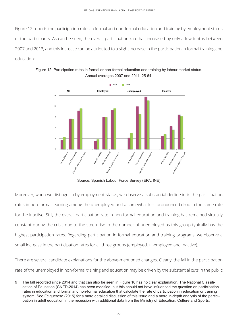Figure 12 reports the participation rates in formal and non-formal education and training by employment status of the participants. As can be seen, the overall participation rate has increased by only a few tenths between 2007 and 2013, and this increase can be attributed to a slight increase in the participation in formal training and education<sup>9</sup>.



Figure 12: Participation rates in formal or non-formal education and training by labour market status. Annual averages 2007 and 2011, 25-64.

Source: Spanish Labour Force Survey (EPA, INE)

Moreover, when we distinguish by employment status, we observe a substantial decline in in the participation rates in non-formal learning among the unemployed and a somewhat less pronounced drop in the same rate for the inactive. Still, the overall participation rate in non-formal education and training has remained virtually constant during the crisis due to the steep rise in the number of unemployed as this group typically has the highest participation rates. Regarding participation in formal education and training programs, we observe a small increase in the participation rates for all three groups (employed, unemployed and inactive).

There are several candidate explanations for the above-mentioned changes. Clearly, the fall in the participation rate of the unemployed in non-formal training and education may be driven by the substantial cuts in the public

<sup>9</sup> The fall recorded since 2014 and that can also be seen in Figure 10 has no clear explanation. The National Classification of Education (CNED-2014) has been modified, but this should not have influenced the question on participation rates in education and formal and non-formal education that calculate the rate of participation in education or training system. See Felgueroso (2015) for a more detailed discussion of this issue and a more in-depth analysis of the participation in adult education in the recession with additional data from the Ministry of Education, Culture and Sports.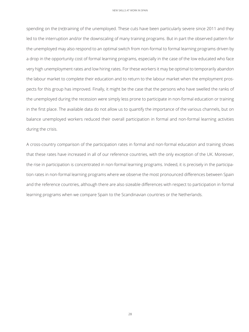#### NEW SKILLS AT WORK IN SPAIN

spending on the (re)training of the unemployed. These cuts have been particularly severe since 2011 and they led to the interruption and/or the downscaling of many training programs. But in part the observed pattern for the unemployed may also respond to an optimal switch from non-formal to formal learning programs driven by a drop in the opportunity cost of formal learning programs, especially in the case of the low educated who face very high unemployment rates and low hiring rates. For these workers it may be optimal to temporarily abandon the labour market to complete their education and to return to the labour market when the employment prospects for this group has improved. Finally, it might be the case that the persons who have swelled the ranks of the unemployed during the recession were simply less prone to participate in non-formal education or training in the first place. The available data do not allow us to quantify the importance of the various channels, but on balance unemployed workers reduced their overall participation in formal and non-formal learning activities during the crisis.

A cross-country comparison of the participation rates in formal and non-formal education and training shows that these rates have increased in all of our reference countries, with the only exception of the UK. Moreover, the rise in participation is concentrated in non-formal learning programs. Indeed, it is precisely in the participation rates in non-formal learning programs where we observe the most pronounced differences between Spain and the reference countries, although there are also sizeable differences with respect to participation in formal learning programs when we compare Spain to the Scandinavian countries or the Netherlands.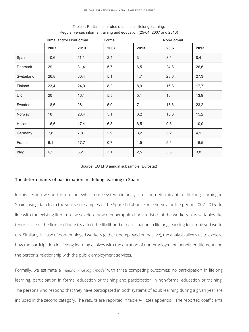|            | Formal and/or NonFormal |      | Formal<br>Non-Formal |              |      |      |  |
|------------|-------------------------|------|----------------------|--------------|------|------|--|
|            | 2007                    | 2013 | 2007                 | 2013         | 2007 | 2013 |  |
| Spain      | 10,6                    | 11,1 | 2,4                  | $\mathbf{3}$ | 8,5  | 8,4  |  |
| Denmark    | 29                      | 31,4 | 5,7                  | 6,5          | 24,8 | 26,6 |  |
| Switerland | 26,8                    | 30,4 | 5,1                  | 4,7          | 23,6 | 27,3 |  |
| Finland    | 23,4                    | 24,9 | 8,2                  | 8,9          | 16,8 | 17,7 |  |
| <b>UK</b>  | 20                      | 16,1 | 5,5                  | 5,1          | 18   | 13,9 |  |
| Sweden     | 18,6                    | 28,1 | 5,9                  | 7,1          | 13,6 | 23,2 |  |
| Norway     | 18                      | 20,4 | 5,1                  | 6,2          | 13,6 | 15,2 |  |
| Holland    | 16,6                    | 17,4 | 6,8                  | 6,5          | 9,8  | 10,9 |  |
| Germany    | 7,8                     | 7,8  | 2,9                  | 3,2          | 5,2  | 4,9  |  |
| France     | 6,1                     | 17,7 | 0,7                  | 1,5          | 5,5  | 16,5 |  |
| Italy      | 6,2                     | 6,2  | 3,1                  | 2,5          | 3,3  | 3,8  |  |

#### Table 4. Participation rates of adults in lifelong learning. Regular versus informal training and education (25-64, 2007 and 2013)

Source: EU LFS annual subsample (Eurostat)

#### **The determinants of participation in lifelong learning in Spain**

In this section we perform a somewhat more systematic analysis of the determinants of lifelong learning in Spain, using data from the yearly subsamples of the Spanish Labour Force Survey for the period 2007-2015. In line with the existing literature, we explore how demographic characteristics of the workers plus variables like tenure, size of the firm and industry affect the likelihood of participation in lifelong learning for employed workers. Similarly, in case of non-employed workers (either unemployed or inactive), the analysis allows us to explore how the participation in lifelong learning evolves with the duration of non-employment, benefit entitlement and the person's relationship with the public employment services.

Formally, we estimate a *multinominal logit model* with three competing outcomes: no participation in lifelong learning, participation in formal education or training and participation in non-formal education or training. The persons who respond that they have participated in both systems of adult learning during a given year are included in the second category. The results are reported in table A-1 (see appendix). The reported coefficients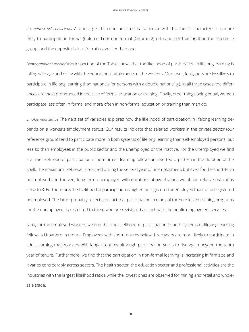are *relative risk coefficients*. A ratio larger than one indicates that a person with this specific characteristic is more likely to participate in formal (Column 1) or non-formal (Column 2) education or training than the reference group, and the opposite is true for ratios smaller than one.

*Demographic characteristics* Inspection of the Table shows that the likelihood of participation in lifelong learning is falling with age and rising with the educational attainments of the workers. Moreover, foreigners are less likely to participate in lifelong learning than nationals (or persons with a double nationality). In all three cases, the differences are most pronounced in the case of formal education or training. Finally, other things being equal, women participate less often in formal and more often in non-formal education or training than men do.

*Employment status* The next set of variables explores how the likelihood of participation in lifelong learning depends on a worker's employment status. Our results indicate that salaried workers in the private sector (our reference group) tend to participate more in both systems of lifelong learning than self-employed persons, but less so than employees in the public sector and the unemployed or the inactive. For the unemployed we find that the likelihood of participation in non-formal learning follows an inverted U-pattern in the duration of the spell. The maximum likelihood is reached during the second year of unemployment, but even for the short-term unemployed and the very long-term unemployed with durations above 4 years, we obtain relative risk ratios close to 3. Furthermore, the likelihood of participation is higher for registered unemployed than for unregistered unemployed. The latter probably reflects the fact that participation in many of the subsidized training programs for the unemployed is restricted to those who are registered as such with the public employment services.

Next, for the employed workers we find that the likelihood of participation in both systems of lifelong learning follows a U-pattern in tenure. Employees with short tenures below three years are more likely to participate in adult learning than workers with longer tenures although participation starts to rise again beyond the tenth year of tenure. Furthermore, we find that the participation in non-formal learning is increasing in firm size and it varies considerably across sectors. The health sector, the education sector and professional activities are the industries with the largest likelihood ratios while the lowest ones are observed for mining and retail and wholesale trade.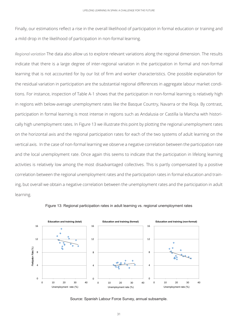Finally, our estimations reflect a rise in the overall likelihood of participation in formal education or training and a mild drop in the likelihood of participation in non-formal learning.

*Regional variation* The data also allow us to explore relevant variations along the regional dimension. The results indicate that there is a large degree of inter-regional variation in the participation in formal and non-formal learning that is not accounted for by our list of firm and worker characteristics. One possible explanation for the residual variation in participation are the substantial regional differences in aggregate labour market conditions. For instance, inspection of Table A-1 shows that the participation in non-formal learning is relatively high in regions with below-average unemployment rates like the Basque Country, Navarra or the Rioja. By contrast, participation in formal learning is most intense in regions such as Andalusia or Castilla la Mancha with historically high unemployment rates. In Figure 13 we illustrate this point by plotting the regional unemployment rates on the horizontal axis and the regional participation rates for each of the two systems of adult learning on the vertical axis. In the case of non-formal learning we observe a negative correlation between the participation rate and the local unemployment rate. Once again this seems to indicate that the participation in lifelong learning activities is relatively low among the most disadvantaged collectives. This is partly compensated by a positive correlation between the regional unemployment rates and the participation rates in formal education and training, but overall we obtain a negative correlation between the unemployment rates and the participation in adult learning.





Source: Spanish Labour Force Survey, annual subsample.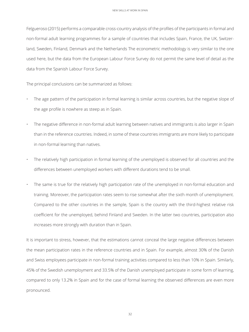Felgueroso (2015) performs a comparable cross-country analysis of the profiles of the participants in formal and non-formal adult learning programmes for a sample of countries that includes Spain, France, the UK, Switzerland, Sweden, Finland, Denmark and the Netherlands The econometric methodology is very similar to the one used here, but the data from the European Labour Force Survey do not permit the same level of detail as the data from the Spanish Labour Force Survey.

The principal conclusions can be summarized as follows:

- The age pattern of the participation in formal learning is similar across countries, but the negative slope of the age profile is nowhere as steep as in Spain.
- The negative difference in non-formal adult learning between natives and immigrants is also larger in Spain than in the reference countries. Indeed, in some of these countries immigrants are more likely to participate in non-formal learning than natives.
- The relatively high participation in formal learning of the unemployed is observed for all countries and the differences between unemployed workers with different durations tend to be small.
- The same is true for the relatively high participation rate of the unemployed in non-formal education and training. Moreover, the participation rates seem to rise somewhat after the sixth month of unemployment. Compared to the other countries in the sample, Spain is the country with the third-highest relative risk coefficient for the unemployed, behind Finland and Sweden. In the latter two countries, participation also increases more strongly with duration than in Spain.

It is important to stress, however, that the estimations cannot conceal the large negative differences between the mean participation rates in the reference countries and in Spain. For example, almost 30% of the Danish and Swiss employees participate in non-formal training activities compared to less than 10% in Spain. Similarly, 45% of the Swedish unemployment and 33.5% of the Danish unemployed participate in some form of learning, compared to only 13.2% in Spain and for the case of formal learning the observed differences are even more pronounced.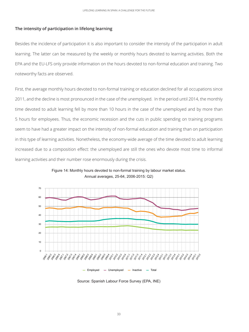#### **The intensity of participation in lifelong learning**

Besides the incidence of participation it is also important to consider the intensity of the participation in adult learning. The latter can be measured by the weekly or monthly hours devoted to learning activities. Both the EPA and the EU-LFS only provide information on the hours devoted to non-formal education and training. Two noteworthy facts are observed.

First, the average monthly hours devoted to non-formal training or education declined for all occupations since 2011, and the decline is most pronounced in the case of the unemployed. In the period until 2014, the monthly time devoted to adult learning fell by more than 10 hours in the case of the unemployed and by more than 5 hours for employees. Thus, the economic recession and the cuts in public spending on training programs seem to have had a greater impact on the intensity of non-formal education and training than on participation in this type of learning activities. Nonetheless, the economy-wide average of the time devoted to adult learning increased due to a composition effect: the unemployed are still the ones who devote most time to informal learning activities and their number rose enormously during the crisis.





Source: Spanish Labour Force Survey (EPA, INE)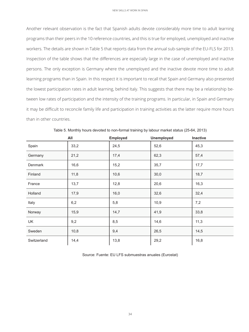Another relevant observation is the fact that Spanish adults devote considerably more time to adult learning programs than their peers in the 10 reference countries, and this is true for employed, unemployed and inactive workers. The details are shown in Table 5 that reports data from the annual sub-sample of the EU-FLS for 2013. Inspection of the table shows that the differences are especially large in the case of unemployed and inactive persons. The only exception is Germany where the unemployed and the inactive devote more time to adult learning programs than in Spain. In this respect it is important to recall that Spain and Germany also presented the lowest participation rates in adult learning, behind Italy. This suggests that there may be a relationship between low rates of participation and the intensity of the training programs. In particular, in Spain and Germany it may be difficult to reconcile family life and participation in training activities as the latter require more hours than in other countries.

|             | All  | <b>Employed</b> | <b>Unemployed</b> | Inactive |
|-------------|------|-----------------|-------------------|----------|
| Spain       | 33,2 | 24,5            | 52,6              | 45,3     |
| Germany     | 21,2 | 17,4            | 62,3              | 57,4     |
| Denmark     | 16,6 | 15,2            | 35,7              | 17,7     |
| Finland     | 11,8 | 10,6            | 30,0              | 18,7     |
| France      | 13,7 | 12,8            | 20,6              | 16,3     |
| Holland     | 17,9 | 16,0            | 32,6              | 32,4     |
| Italy       | 6,2  | 5,8             | 10,9              | 7,2      |
| Norway      | 15,9 | 14,7            | 41,9              | 33,8     |
| UK          | 9,2  | 8,5             | 14,6              | 11,3     |
| Sweden      | 10,8 | 9,4             | 26,5              | 14,5     |
| Switzerland | 14,4 | 13,8            | 29,2              | 16,8     |

Table 5. Monthly hours devoted to non-formal training by labour market status (25-64, 2013)

Source: Fuente: EU LFS submuestras anuales (Eurostat)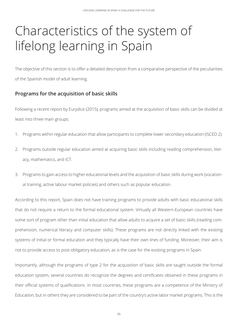## Characteristics of the system of lifelong learning in Spain

The objective of this section is to offer a detailed description from a comparative perspective of the peculiarities of the Spanish model of adult learning.

### **Programs for the acquisition of basic skills**

Following a recent report by Eurydice (2015), programs aimed at the acquisition of basic skills can be divided at least into three main groups:

- 1. Programs within regular education that allow participants to complete lower secondary education (ISCED 2).
- 2. Programs outside regular education aimed at acquiring basic skills including reading comprehension, literacy, mathematics, and ICT.
- 3. Programs to gain access to higher educational levels and the acquisition of basic skills during work (vocational training, active labour market policies) and others such as popular education.

According to this report, Spain does not have training programs to provide adults with basic educational skills that do not require a return to the formal educational system. Virtually all Western-European countries have some sort of program other than initial education that allow adults to acquire a set of basic skills (reading comprehension, numerical literacy and computer skills). These programs are not directly linked with the existing systems of initial or formal education and they typically have their own lines of funding. Moreover, their aim is not to provide access to post-obligatory education, as is the case for the existing programs in Spain.

Importantly, although the programs of type 2 for the acquisition of basic skills are taught outside the formal education system, several countries do recognize the degrees and certificates obtained in these programs in their official systems of qualifications. In most countries, these programs are a competence of the Ministry of Education, but in others they are considered to be part of the country's active labor market programs. This is the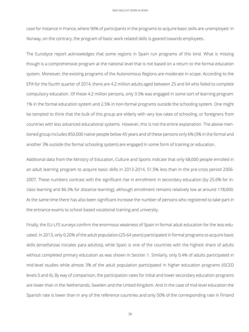case for instance in France, where 90% of participants in the programs to acquire basic skills are unemployed. In Norway, on the contrary, the program of basic work related skills is geared towards employees.

The Eurodyce report acknowledges that some regions in Spain run programs of this kind. What is missing though is a comprehensive program at the national level that is not based on a return to the formal education system. Moreover, the existing programs of the Autonomous Regions are moderate in scope. According to the EPA for the fourth quarter of 2014, there are 4.2 million adults aged between 25 and 64 who failed to complete compulsory education. Of these 4.2 million persons, only 3.5% was engaged in some sort of learning program: 1% in the formal education system and 2.5% in non-formal programs outside the schooling system. One might be tempted to think that the bulk of this group are elderly with very low rates of schooling, or foreigners from countries with less advanced educational systems. However, this is not the entire explanation. The above-mentioned group includes 850,000 native people below 45 years and of these persons only 6% (3% in the formal and another 3% outside the formal schooling system) are engaged in some form of training or education.

Additional data from the Ministry of Education, Culture and Sports indicate that only 68,000 people enrolled in an adult learning program to acquire basic skills in 2013-2014, 51.5% less than in the pre-crisis period 2006- 2007. These numbers contrast with the significant rise in enrollment in secondary education (by 25.6% for inclass learning and 86.3% for distance learning), although enrollment remains relatively low at around 178,000. At the same time there has also been significant increase the number of persons who registered to take part in the entrance exams to school-based vocational training and university.

Finally, the EU-LFS surveys confirm the enormous weakness of Spain in formal adult education for the less educated. In 2013, only 0.20% of the adult population (25-64 years) participated in formal programs to acquire basic skills (enseñanzas iniciales para adultos), while Spain is one of the countries with the highest share of adults without completed primary education as was shown in Section 1. Similarly, only 0.4% of adults participated in mid-level studies while almost 3% of the adult population participated in higher education programs (ISCED levels 5 and 6). By way of comparison, the participation rates for initial and lower secondary education programs are lower than in the Netherlands, Sweden and the United Kingdom. And in the case of mid-level education the Spanish rate is lower than in any of the reference countries and only 50% of the corresponding rate in Finland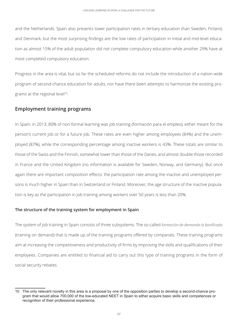and the Netherlands. Spain also presents lower participation rates in tertiary education than Sweden, Finland, and Denmark, but the most surprising findings are the low rates of participation in initial and mid-level education as almost 15% of the adult population did not complete compulsory education while another 29% have at most completed compulsory education.

Progress in the area is vital, but so far the scheduled reforms do not include the introduction of a nation-wide program of second-chance education for adults, nor have there been attempts to harmonize the existing programs at the regional level<sup>10</sup>.

### **Employment training programs**

In Spain, in 2013, 80% of non-formal learning was job training (formación para el empleo), either meant for the person's current job or for a future job. These rates are even higher among employees (84%) and the unemployed (87%), while the corresponding percentage among inactive workers is 43%. These totals are similar to those of the Swiss and the Finnish, somewhat lower than those of the Danes, and almost double those recorded in France and the United Kingdom (no information is available for Sweden, Norway, and Germany). But once again there are important composition effects: the participation rate among the inactive and unemployed persons is much higher in Spain than in Switzerland or Finland. Moreover, the age structure of the inactive population is key as the participation in job training among workers over 50 years is less than 20%.

### **The structure of the training system for employment in Spain**

The system of job training in Spain consists of three subsystems. The so-called *formación de demanda* o *bonificada*  (training on demand) that is made up of the training programs offered by companies. These training programs aim at increasing the competitiveness and productivity of firms by improving the skills and qualifications of their employees. Companies are entitled to financial aid to carry out this type of training programs in the form of social security rebates.

<sup>10</sup> The only relevant novelty in this area is a proposal by one of the opposition parties to develop a second-chance program that would allow 700,000 of the low-educated NEET in Spain to either acquire basic skills and competences or recognition of their professional experience.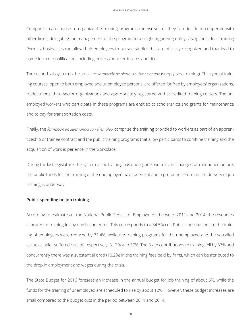#### NEW SKILLS AT WORK IN SPAIN

Companies can choose to organize the training programs themselves or they can decide to cooperate with other firms, delegating the management of the program to a single organizing entity. Using Individual Training Permits, businesses can allow their employees to pursue studies that are officially recognized and that lead to some form of qualification, including professional certificates and titles.

The second subsystem is the so-called *formación de oferta* o *subvencionada* (supply-side training). This type of training courses, open to both employed and unemployed persons, are offered for free by employers' organizations, trade unions, third-sector organizations and appropriately registered and accredited training centers. The unemployed workers who participate in these programs are entitled to scholarships and grants for maintenance and to pay for transportation costs.

Finally, the *formación en alternancia con el empleo* comprise the training provided to workers as part of an apprenticeship or trainee contract and the public training programs that allow participants to combine training and the acquisition of work experience in the workplace.

During the last legislature, the system of job training has undergone two relevant changes: as mentioned before, the public funds for the training of the unemployed have been cut and a profound reform in the delivery of job training is underway.

#### **Public spending on job training**

According to estimates of the National Public Service of Employment, between 2011 and 2014, the resources allocated to training fell by one billion euros. This corresponds to a 34.5% cut. Public contributions to the training of employees were reduced by 32.4%, while the training programs for the unemployed and the so-called escuelas taller suffered cuts of, respectively, 31.3% and 57%. The State contributions to training fell by 87% and concurrently there was a substantial drop (10.2%) in the training fees paid by firms, which can be attributed to the drop in employment and wages during the crisis.

The State Budget for 2016 foresees an increase in the annual budget for job training of about 6%, while the funds for the training of unemployed are scheduled to rise by about 12%. However, these budget increases are small compared to the budget cuts in the period between 2011 and 2014.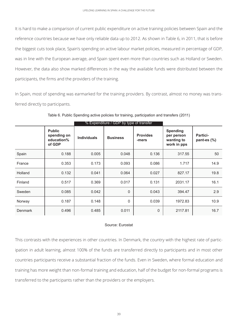It is hard to make a comparison of current public expenditure on active training policies between Spain and the reference countries because we have only reliable data up to 2012. As shown in Table 6, in 2011, that is before the biggest cuts took place, Spain's spending on active labour market policies, measured in percentage of GDP, was in line with the European average, and Spain spent even more than countries such as Holland or Sweden. However, the data also show marked differences in the way the available funds were distributed between the participants, the firms and the providers of the training.

In Spain, most of spending was earmarked for the training providers. By contrast, almost no money was transferred directly to participants.

|                |                                                      |                    | % Expenditure / GDP by type of transfer |                          |                                                            |                            |
|----------------|------------------------------------------------------|--------------------|-----------------------------------------|--------------------------|------------------------------------------------------------|----------------------------|
|                | <b>Public</b><br>spending on<br>education%<br>of GDP | <b>Individuals</b> | <b>Business</b>                         | <b>Provides</b><br>-mers | <b>Spending</b><br>per person<br>wanting to<br>work in pps | Partici-<br>pant-es $(\%)$ |
| Spain          | 0.188                                                | 0.005              | 0.048                                   | 0.136                    | 317.55                                                     | 50                         |
| France         | 0.353                                                | 0.173              | 0.093                                   | 0.086                    | 1.717                                                      | 14.9                       |
| Holland        | 0.132                                                | 0.041              | 0.064                                   | 0.027                    | 827.17                                                     | 19.8                       |
| Finland        | 0.517                                                | 0.369              | 0.017                                   | 0.131                    | 2031.17                                                    | 16.1                       |
| Sweden         | 0.085                                                | 0.042              | $\Omega$                                | 0.043                    | 394.47                                                     | 2.9                        |
| Norway         | 0.187                                                | 0.148              | $\mathbf{0}$                            | 0.039                    | 1972.83                                                    | 10.9                       |
| <b>Denmark</b> | 0.496                                                | 0.485              | 0.011                                   | 0                        | 2117.81                                                    | 16.7                       |

Table 6. Public Spending active policies for training, participation and transfers (2011)

#### Source: Eurostat

This contrasts with the experiences in other countries. In Denmark, the country with the highest rate of participation in adult learning, almost 100% of the funds are transferred directly to participants and in most other countries participants receive a substantial fraction of the funds. Even in Sweden, where formal education and training has more weight than non-formal training and education, half of the budget for non-formal programs is transferred to the participants rather than the providers or the employers.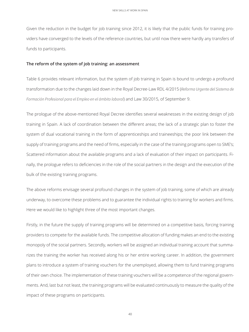Given the reduction in the budget for job training since 2012, it is likely that the public funds for training providers have converged to the levels of the reference countries, but until now there were hardly any transfers of funds to participants.

#### **The reform of the system of job training: an assessment**

Table 6 provides relevant information, but the system of job training in Spain is bound to undergo a profound transformation due to the changes laid down in the Royal Decree-Law RDL 4/2015 (*Reforma Urgente del Sistema de Formación Profesional para el Empleo en el ámbito laboral*) and Law 30/2015, of September 9.

The prologue of the above-mentioned Royal Decree identifies several weaknesses in the existing design of job training in Spain. A lack of coordination between the different areas; the lack of a strategic plan to foster the system of dual vocational training in the form of apprenticeships and traineeships; the poor link between the supply of training programs and the need of firms, especially in the case of the training programs open to SME's; Scattered information about the available programs and a lack of evaluation of their impact on participants. Finally, the prologue refers to deficiencies in the role of the social partners in the design and the execution of the bulk of the existing training programs.

The above reforms envisage several profound changes in the system of job training, some of which are already underway, to overcome these problems and to guarantee the individual rights to training for workers and firms. Here we would like to highlight three of the most important changes.

Firstly, in the future the supply of training programs will be determined on a competitive basis, forcing training providers to compete for the available funds. The competitive allocation of funding makes an end to the existing monopoly of the social partners. Secondly, workers will be assigned an individual training account that summarizes the training the worker has received along his or her entire working career. In addition, the government plans to introduce a system of training vouchers for the unemployed, allowing them to fund training programs of their own choice. The implementation of these training vouchers will be a competence of the regional governments. And, last but not least, the training programs will be evaluated continuously to measure the quality of the impact of these programs on participants.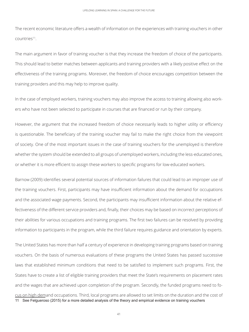The recent economic literature offers a wealth of information on the experiences with training vouchers in other countries<sup>11</sup>.

The main argument in favor of training voucher is that they increase the freedom of choice of the participants. This should lead to better matches between applicants and training providers with a likely positive effect on the effectiveness of the training programs. Moreover, the freedom of choice encourages competition between the training providers and this may help to improve quality.

In the case of employed workers, training vouchers may also improve the access to training allowing also workers who have not been selected to participate in courses that are financed or run by their company.

However, the argument that the increased freedom of choice necessarily leads to higher utility or efficiency is questionable. The beneficiary of the training voucher may fail to make the right choice from the viewpoint of society. One of the most important issues in the case of training vouchers for the unemployed is therefore whether the system should be extended to all groups of unemployed workers, including the less-educated ones, or whether it is more efficient to assign these workers to specific programs for low-educated workers.

Barnow (2009) identifies several potential sources of information failures that could lead to an improper use of the training vouchers. First, participants may have insufficient information about the demand for occupations and the associated wage payments. Second, the participants may insufficient information about the relative effectiveness of the different service providers and, finally, their choices may be based on incorrect perceptions of their abilities for various occupations and training programs. The first two failures can be resolved by providing information to participants in the program, while the third failure requires guidance and orientation by experts.

The United States has more than half a century of experience in developing training programs based on training vouchers. On the basis of numerous evaluations of these programs the United States has passed successive laws that established minimum conditions that need to be satisfied to implement such programs. First, the States have to create a list of eligible training providers that meet the State's requirements on placement rates and the wages that are achieved upon completion of the program. Secondly, the funded programs need to focus on high demand occupations. Third, local programs are allowed to set limits on the duration and the cost of 11 See Felgueroso (2015) for a more detailed analysis of the theory and empirical evidence on training vouchers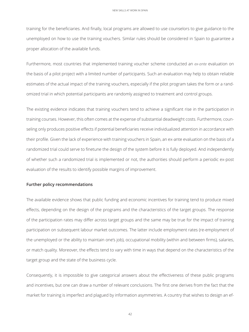training for the beneficiaries. And finally, local programs are allowed to use counselors to give guidance to the unemployed on how to use the training vouchers. Similar rules should be considered in Spain to guarantee a proper allocation of the available funds.

Furthermore, most countries that implemented training voucher scheme conducted an *ex-ante* evaluation on the basis of a pilot project with a limited number of participants. Such an evaluation may help to obtain reliable estimates of the actual impact of the training vouchers, especially if the pilot program takes the form or a randomized trial in which potential participants are randomly assigned to treatment and control groups.

The existing evidence indicates that training vouchers tend to achieve a significant rise in the participation in training courses. However, this often comes at the expense of substantial deadweight costs. Furthermore, counseling only produces positive effects if potential beneficiaries receive individualized attention in accordance with their profile. Given the lack of experience with training vouchers in Spain, an ex-ante evaluation on the basis of a randomized trial could serve to finetune the design of the system before it is fully deployed. And independently of whether such a randomized trial is implemented or not, the authorities should perform a periodic ex-post evaluation of the results to identify possible margins of improvement.

#### **Further policy recommendations**

The available evidence shows that public funding and economic incentives for training tend to produce mixed effects, depending on the design of the programs and the characteristics of the target groups. The response of the participation rates may differ across target groups and the same may be true for the impact of training participation on subsequent labour market outcomes. The latter include employment rates (re-employment of the unemployed or the ability to maintain one's job), occupational mobility (within and between firms), salaries, or match quality. Moreover, the effects tend to vary with time in ways that depend on the characteristics of the target group and the state of the business cycle.

Consequently, it is impossible to give categorical answers about the effectiveness of these public programs and incentives, but one can draw a number of relevant conclusions. The first one derives from the fact that the market for training is imperfect and plagued by information asymmetries. A country that wishes to design an ef-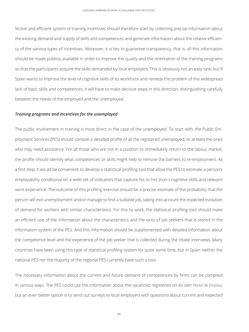fective and efficient system of training incentives should therefore start by collecting precise information about the existing demand and supply of skills and competences and generate information about the relative efficiency of the various types of incentives. Moreover, it is key to guarantee transparency, that is, all this information should be made publicly available in order to improve the quality and the orientation of the training programs so that the participants acquire the skills demanded by local employers. This is obviously not an easy task, but if Spain wants to improve the level of cognitive skills of its workforce and remedy the problem of the widespread lack of basic skills and competences, it will have to make decisive steps in this direction, distinguishing carefully between the needs of the employed and the unemployed.

#### *Training programs and incentives for the unemployed*

The public involvement in training is most direct in the case of the unemployed. To start with, the Public Employment Services (PES) should compile a detailed profile of all the registered unemployed, or at least the ones who may need assistance. For all those who are not in a position to immediately return to the labour market, the profile should identify what competences or skills might help to remove the barriers to re-employment. As a first step, it would be convenient to develop a statistical profiling tool that allow the PES to estimate a person's employability conditional on a wide set of indicators that capture his or her (non-) cognitive skills and relevant work experience. The outcome of this profiling exercise should be a precise estimate of the probability that the person will exit unemployment and/or manage to find a suitable job, taking into account the expected evolution of demand for workers with similar characteristics. For this to work, the statistical profiling tool should make an efficient use of the information about the characteristics and the exits of job seekers that is stored in the information system of the PES. And this information should be supplemented with detailed information about the competence level and the experience of the job seeker that is collected during the intake interviews. Many countries have been using this type of statistical profiling system for quite some time, but in Spain neither the national PES nor the majority of the regional PES currently have such a tool.

The necessary information about the current and future demand of competences by firms can be compiled in various ways. The PES could use the information about the vacancies registered on its own *Portal de Empleo*, but an even better option is to send out surveys to local employers with questions about current and expected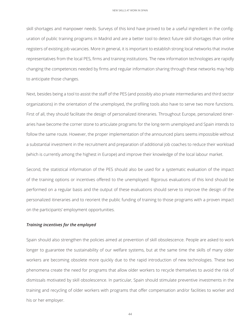skill shortages and manpower needs. Surveys of this kind have proved to be a useful ingredient in the configuration of public training programs in Madrid and are a better tool to detect future skill shortages than online registers of existing job vacancies. More in general, it is important to establish strong local networks that involve representatives from the local PES, firms and training institutions. The new information technologies are rapidly changing the competences needed by firms and regular information sharing through these networks may help to anticipate those changes.

Next, besides being a tool to assist the staff of the PES (and possibly also private intermediaries and third sector organizations) in the orientation of the unemployed, the profiling tools also have to serve two more functions. First of all, they should facilitate the design of personalized itineraries. Throughout Europe, personalized itineraries have become the corner stone to articulate programs for the long-term unemployed and Spain intends to follow the same route. However, the proper implementation of the announced plans seems impossible without a substantial investment in the recruitment and preparation of additional job coaches to reduce their workload (which is currently among the highest in Europe) and improve their knowledge of the local labour market.

Second, the statistical information of the PES should also be used for a systematic evaluation of the impact of the training options or incentives offered to the unemployed. Rigorous evaluations of this kind should be performed on a regular basis and the output of these evaluations should serve to improve the design of the personalized itineraries and to reorient the public funding of training to those programs with a proven impact on the participants' employment opportunities.

#### *Training incentives for the employed*

Spain should also strengthen the policies aimed at prevention of skill obsolescence. People are asked to work longer to guarantee the sustainability of our welfare systems, but at the same time the skills of many older workers are becoming obsolete more quickly due to the rapid introduction of new technologies. These two phenomena create the need for programs that allow older workers to recycle themselves to avoid the risk of dismissals motivated by skill obsolescence. In particular, Spain should stimulate preventive investments in the training and recycling of older workers with programs that offer compensation and/or facilities to worker and his or her employer.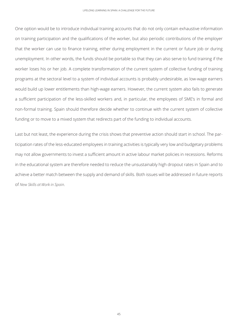One option would be to introduce individual training accounts that do not only contain exhaustive information on training participation and the qualifications of the worker, but also periodic contributions of the employer that the worker can use to finance training, either during employment in the current or future job or during unemployment. In other words, the funds should be portable so that they can also serve to fund training if the worker loses his or her job. A complete transformation of the current system of collective funding of training programs at the sectoral level to a system of individual accounts is probably undesirable, as low-wage earners would build up lower entitlements than high-wage earners. However, the current system also fails to generate a sufficient participation of the less-skilled workers and, in particular, the employees of SME's in formal and non-formal training. Spain should therefore decide whether to continue with the current system of collective funding or to move to a mixed system that redirects part of the funding to individual accounts.

Last but not least, the experience during the crisis shows that preventive action should start in school. The participation rates of the less-educated employees in training activities is typically very low and budgetary problems may not allow governments to invest a sufficient amount in active labour market policies in recessions. Reforms in the educational system are therefore needed to reduce the unsustainably high dropout rates in Spain and to achieve a better match between the supply and demand of skills. Both issues will be addressed in future reports of *New Skills at Work in Spain*.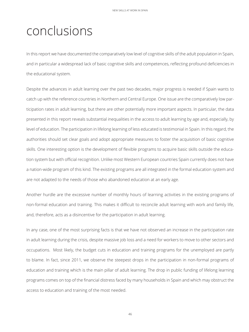## conclusions

In this report we have documented the comparatively low level of cognitive skills of the adult population in Spain, and in particular a widespread lack of basic cognitive skills and competences, reflecting profound deficiencies in the educational system.

Despite the advances in adult learning over the past two decades, major progress is needed if Spain wants to catch up with the reference countries in Northern and Central Europe. One issue are the comparatively low participation rates in adult learning, but there are other potentially more important aspects. In particular, the data presented in this report reveals substantial inequalities in the access to adult learning by age and, especially, by level of education. The participation in lifelong learning of less educated is testimonial in Spain. In this regard, the authorities should set clear goals and adopt appropriate measures to foster the acquisition of basic cognitive skills. One interesting option is the development of flexible programs to acquire basic skills outside the education system but with official recognition. Unlike most Western European countries Spain currently does not have a nation-wide program of this kind. The existing programs are all integrated in the formal education system and are not adapted to the needs of those who abandoned education at an early age.

Another hurdle are the excessive number of monthly hours of learning activities in the existing programs of non-formal education and training. This makes it difficult to reconcile adult learning with work and family life, and, therefore, acts as a disincentive for the participation in adult learning.

In any case, one of the most surprising facts is that we have not observed an increase in the participation rate in adult learning during the crisis, despite massive job loss and a need for workers to move to other sectors and occupations. Most likely, the budget cuts in education and training programs for the unemployed are partly to blame. In fact, since 2011, we observe the steepest drops in the participation in non-formal programs of education and training which is the main pillar of adult learning. The drop in public funding of lifelong learning programs comes on top of the financial distress faced by many households in Spain and which may obstruct the access to education and training of the most needed.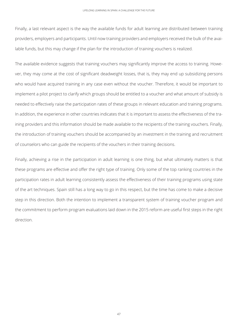Finally, a last relevant aspect is the way the available funds for adult learning are distributed between training providers, employers and participants. Until now training providers and employers received the bulk of the available funds, but this may change if the plan for the introduction of training vouchers is realized.

The available evidence suggests that training vouchers may significantly improve the access to training. However, they may come at the cost of significant deadweight losses, that is, they may end up subsidizing persons who would have acquired training in any case even without the voucher. Therefore, it would be important to implement a pilot project to clarify which groups should be entitled to a voucher and what amount of subsidy is needed to effectively raise the participation rates of these groups in relevant education and training programs. In addition, the experience in other countries indicates that it is important to assess the effectiveness of the training providers and this information should be made available to the recipients of the training vouchers. Finally, the introduction of training vouchers should be accompanied by an investment in the training and recruitment of counselors who can guide the recipients of the vouchers in their training decisions.

Finally, achieving a rise in the participation in adult learning is one thing, but what ultimately matters is that these programs are effective and offer the right type of training. Only some of the top ranking countries in the participation rates in adult learning consistently assess the effectiveness of their training programs using state of the art techniques. Spain still has a long way to go in this respect, but the time has come to make a decisive step in this direction. Both the intention to implement a transparent system of training voucher program and the commitment to perform program evaluations laid down in the 2015 reform are useful first steps in the right direction.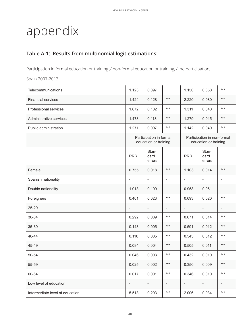# appendix

### **Table A-1: Results from multinomial logit estimations:**

Participation in formal education or training ,/ non-formal education or training, / no participation,

Spain 2007-2013

| Telecommunications              | 1.123      | 0.097                                            |                          | 1.150             | 0.050                                                | $***$                    |
|---------------------------------|------------|--------------------------------------------------|--------------------------|-------------------|------------------------------------------------------|--------------------------|
| <b>Financial services</b>       | 1.424      | 0.128                                            | $***$                    | 2.220             | 0.080                                                | $***$                    |
| Professional services           | 1.672      | 0.102                                            | $***$                    | 1.311             | 0.040                                                | $***$                    |
| Administrative services         | 1.473      | 0.113                                            | $***$                    | 1.279             | 0.045                                                | $***$                    |
| Public administration           | 1.271      | 0.097                                            | $***$                    | 1.142             | 0.040                                                | $\star\!\star\!\star$    |
|                                 |            | Participation in formal<br>education or training |                          |                   | Participation in non-formal<br>education or training |                          |
|                                 | <b>RRR</b> | Stan-<br>dard<br>errors                          |                          | <b>RRR</b>        | Stan-<br>dard<br>errors                              |                          |
| Female                          | 0.755      | 0.018                                            | $***$                    | 1.103             | 0.014                                                | $***$                    |
| Spanish nationality             |            | $\qquad \qquad -$                                | $\overline{\phantom{a}}$ | $\qquad \qquad -$ | $\overline{\phantom{a}}$                             | $\overline{\phantom{a}}$ |
| Double nationality              | 1.013      | 0.100                                            |                          | 0.958             | 0.051                                                |                          |
| Foreigners                      | 0.401      | 0.023                                            | $***$                    | 0.693             | 0.020                                                | $***$                    |
| 25-29                           |            | $\overline{a}$                                   | $\overline{\phantom{a}}$ | ÷,                | $\overline{\phantom{a}}$                             | $\overline{\phantom{a}}$ |
| 30-34                           | 0.292      | 0.009                                            | ***                      | 0.671             | 0.014                                                | $***$                    |
| 35-39                           | 0.143      | 0.005                                            | $***$                    | 0.591             | 0.012                                                | $***$                    |
| 40-44                           | 0.116      | 0.005                                            | $***$                    | 0.543             | 0.012                                                | $***$                    |
| 45-49                           | 0.084      | 0.004                                            | $***$                    | 0.505             | 0.011                                                | $***$                    |
| 50-54                           | 0.046      | 0.003                                            | $***$                    | 0.432             | 0.010                                                | $***$                    |
| 55-59                           | 0.025      | 0.002                                            | $***$                    | 0.350             | 0.009                                                | $***$                    |
| 60-64                           | 0.017      | 0.001                                            | $***$                    | 0.346             | 0.010                                                | $***$                    |
| Low level of education          |            | $\blacksquare$                                   | $\overline{a}$           | ÷,                | $\overline{\phantom{a}}$                             |                          |
| Intermediate level of education | 5.513      | 0.203                                            | $***$                    | 2.006             | 0.034                                                | $***$                    |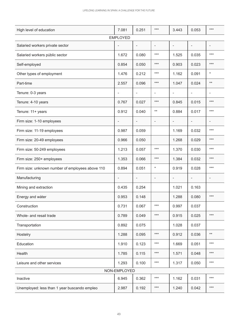| High level of education                          | 7.081           | 0.251                    | $***$                    | 3.443                    | 0.053                    | ***                      |
|--------------------------------------------------|-----------------|--------------------------|--------------------------|--------------------------|--------------------------|--------------------------|
|                                                  | <b>EMPLOYED</b> |                          |                          |                          |                          |                          |
| Salaried workers private sector                  |                 | $\overline{\phantom{0}}$ | $\overline{\phantom{0}}$ | $\overline{\phantom{a}}$ | $\overline{\phantom{a}}$ | $\overline{\phantom{0}}$ |
| Salaried workers públic sector                   | 1.672           | 0.080                    | $***$                    | 1.525                    | 0.035                    | ***                      |
| Self-employed                                    | 0.854           | 0.050                    | $***$                    | 0.903                    | 0.023                    | ***                      |
| Other types of employment                        | 1.476           | 0.212                    | $***$                    | 1.162                    | 0.091                    | $^\star$                 |
| Part-time                                        | 2.557           | 0.096                    | $***$                    | 1.047                    | 0.024                    | $***$                    |
| Tenure: 0-3 years                                |                 | ۰                        | $\overline{a}$           | $\overline{\phantom{a}}$ |                          |                          |
| Tenure: 4-10 years                               | 0.767           | 0.027                    | $***$                    | 0.845                    | 0.015                    | ***                      |
| Tenure: 11+ years                                | 0.912           | 0.040                    | $***$                    | 0.884                    | 0.017                    | ***                      |
| Firm size: 1-10 employees                        |                 | $\overline{a}$           | $\overline{a}$           | $\overline{\phantom{a}}$ | $\overline{\phantom{a}}$ | L,                       |
| Firm size: 11-19 employees                       | 0.987           | 0.059                    |                          | 1.169                    | 0.032                    | ***                      |
| Firm size: 20-49 employees                       | 0.966           | 0.050                    |                          | 1.268                    | 0.029                    | ***                      |
| Firm size: 50-249 employees                      | 1.213           | 0.057                    | $***$                    | 1.370                    | 0.030                    | ***                      |
| Firm size: 250+ employees                        | 1.353           | 0.066                    | $***$                    | 1.384                    | 0.032                    | ***                      |
| Firm size: unknown number of employees above 110 | 0.894           | 0.051                    | $\star$                  | 0.919                    | 0.028                    | ***                      |
| Manufacturing                                    |                 | L,                       | $\overline{\phantom{0}}$ | $\overline{\phantom{a}}$ | $\overline{\phantom{a}}$ | L,                       |
| Mining and extraction                            | 0.435           | 0.254                    |                          | 1.021                    | 0.163                    |                          |
| Energy and wàter                                 | 0.953           | 0.148                    |                          | 1.288                    | 0.080                    | ***                      |
| Construction                                     | 0.731           | 0.067                    | $***$                    | 0.997                    | 0.037                    |                          |
| Whole- and resail trade                          | 0.789           | 0.049                    | $***$                    | 0.915                    | 0.025                    | $***$                    |
| Transportation                                   | 0.892           | 0.075                    |                          | 1.028                    | 0.037                    |                          |
| Hostelry                                         | 1.288           | 0.095                    | $***$                    | 0.912                    | 0.036                    | $***$                    |
| Education                                        | 1.910           | 0.123                    | $***$                    | 1.669                    | 0.051                    | ***                      |
| Health                                           | 1.785           | 0.115                    | $***$                    | 1.571                    | 0.048                    | ***                      |
| Leisure and other services                       | 1.293           | 0.100                    | $***$                    | 1.317                    | 0.050                    | $***$                    |
|                                                  | NON-EMPLOYED    |                          |                          |                          |                          |                          |
| Inactive                                         | 6.945           | 0.362                    | $***$                    | 1.162                    | 0.031                    | $***$                    |
| Unemployed: less than 1 year buscando empleo     | 2.987           | 0.192                    | $***$                    | 1.240                    | 0.042                    | ***                      |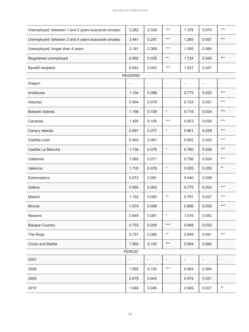| Unemployed: between 1 and 2 years buscando empleo | 3.282          | 0.339                    | $***$                    | 1.378                    | 0.075                    | $***$                    |
|---------------------------------------------------|----------------|--------------------------|--------------------------|--------------------------|--------------------------|--------------------------|
| Unemployed: between 2 and 4 years buscando empleo | 3.441          | 0.291                    | $***$                    | 1.265                    | 0.057                    | $***$                    |
| Unemployed: longer than 4 years                   | 3.181          | 0.369                    | $***$                    | 1.095                    | 0.066                    |                          |
| Registered unemployed                             | 0.902          | 0.038                    | $***$                    | 1.724                    | 0.045                    | $***$                    |
| Benefit recipient                                 | 0.842          | 0.043                    | $***$                    | 1.021                    | 0.027                    |                          |
|                                                   | <b>REGIONS</b> |                          |                          |                          |                          |                          |
| Aragon                                            |                | $\overline{\phantom{a}}$ | $\overline{\phantom{a}}$ | ÷,                       | $\overline{a}$           | $\overline{\phantom{a}}$ |
| Andalusia                                         | 1.104          | 0.068                    |                          | 0.773                    | 0.022                    | $***$                    |
| Asturias                                          | 0.904          | 0.078                    |                          | 0.724                    | 0.031                    | $***$                    |
| <b>Balearic Islands</b>                           | 1.196          | 0.109                    | $\star$                  | 0.718                    | 0.034                    | $***$                    |
| Canarias                                          | 1.495          | 0.105                    | $***$                    | 0.823                    | 0.030                    | $***$                    |
| Canary Islands                                    | 0.857          | 0.077                    | $\star$                  | 0.661                    | 0.029                    | $***$                    |
| Castilla-Leon                                     | 0.903          | 0.061                    |                          | 0.802                    | 0.025                    | $***$                    |
| Castilla La Mancha                                | 1.136          | 0.079                    | $\star$                  | 0.760                    | 0.026                    | ***                      |
| Catalonia                                         | 1.060          | 0.071                    |                          | 0.756                    | 0.024                    | $***$                    |
| Valencia                                          | 1.119          | 0.076                    | $\star$                  | 0.935                    | 0.030                    | $^{\star\star}$          |
| Estremadura                                       | 0.973          | 0.081                    |                          | 0.940                    | 0.036                    |                          |
| Galicia                                           | 0.955          | 0.063                    |                          | 0.775                    | 0.024                    | $***$                    |
| Madrid                                            | 1.153          | 0.082                    | $***$                    | 0.791                    | 0.027                    | $***$                    |
| Murcia                                            | 1.074          | 0.089                    |                          | 0.856                    | 0.035                    | $***$                    |
| Navarre                                           | 0.849          | 0.081                    | $\star$                  | 1.016                    | 0.042                    |                          |
| <b>Basque Country</b>                             | 0.753          | 0.059                    | $***$                    | 0.948                    | 0.032                    |                          |
| The Rioja                                         | 0.757          | 0.085                    | $***$                    | 0.849                    | 0.041                    | $***$                    |
| Ceuta and Melilla                                 | 1.565          | 0.193                    | $***$                    | 0.904                    | 0.064                    |                          |
|                                                   | <b>PERIOD</b>  |                          |                          |                          |                          |                          |
| 2007                                              |                | $\qquad \qquad -$        | $\overline{\phantom{a}}$ | $\overline{\phantom{0}}$ | $\overline{\phantom{a}}$ | $\overline{\phantom{a}}$ |
| 2008                                              | 1.565          | 0.193                    | $***$                    | 0.904                    | 0.064                    |                          |
| 2009                                              | 0.978          | 0.043                    |                          | 0.974                    | 0.021                    |                          |
| 2010                                              | 1.048          | 0.046                    |                          | 0.946                    | 0.021                    | $^{\star\star}$          |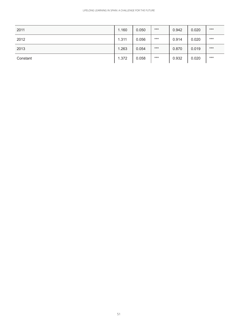| 2011     | 1.160 | 0.050 | $***$ | 0.942 | 0.020 | $***$ |
|----------|-------|-------|-------|-------|-------|-------|
| 2012     | 1.311 | 0.056 | $***$ | 0.914 | 0.020 | $***$ |
| 2013     | 1.263 | 0.054 | $***$ | 0.870 | 0.019 | $***$ |
| Constant | 1.372 | 0.058 | $***$ | 0.932 | 0.020 | $***$ |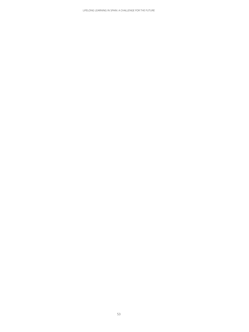LIFELONG LEARNING IN SPAIN: A CHALLENGE FOR THE FUTURE